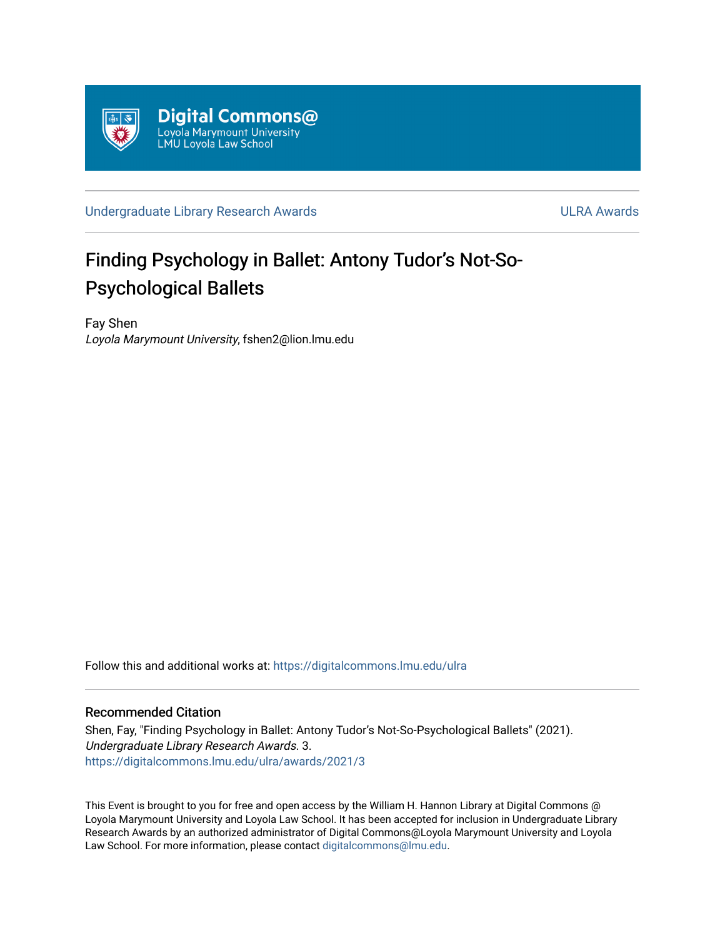

[Undergraduate Library Research Awards](https://digitalcommons.lmu.edu/ulra) **National Accord Contract Contract Contract Contract Contract Contract Contract Contract Contract Contract Contract Contract Contract Contract Contract Contract Contract Contract Contr** 

# Finding Psychology in Ballet: Antony Tudor's Not-So-Psychological Ballets

Fay Shen Loyola Marymount University, fshen2@lion.lmu.edu

Follow this and additional works at: [https://digitalcommons.lmu.edu/ulra](https://digitalcommons.lmu.edu/ulra?utm_source=digitalcommons.lmu.edu%2Fulra%2Fawards%2F2021%2F3&utm_medium=PDF&utm_campaign=PDFCoverPages)

# Recommended Citation

Shen, Fay, "Finding Psychology in Ballet: Antony Tudor's Not-So-Psychological Ballets" (2021). Undergraduate Library Research Awards. 3. [https://digitalcommons.lmu.edu/ulra/awards/2021/3](https://digitalcommons.lmu.edu/ulra/awards/2021/3?utm_source=digitalcommons.lmu.edu%2Fulra%2Fawards%2F2021%2F3&utm_medium=PDF&utm_campaign=PDFCoverPages)

This Event is brought to you for free and open access by the William H. Hannon Library at Digital Commons @ Loyola Marymount University and Loyola Law School. It has been accepted for inclusion in Undergraduate Library Research Awards by an authorized administrator of Digital Commons@Loyola Marymount University and Loyola Law School. For more information, please contact [digitalcommons@lmu.edu.](mailto:digitalcommons@lmu.edu)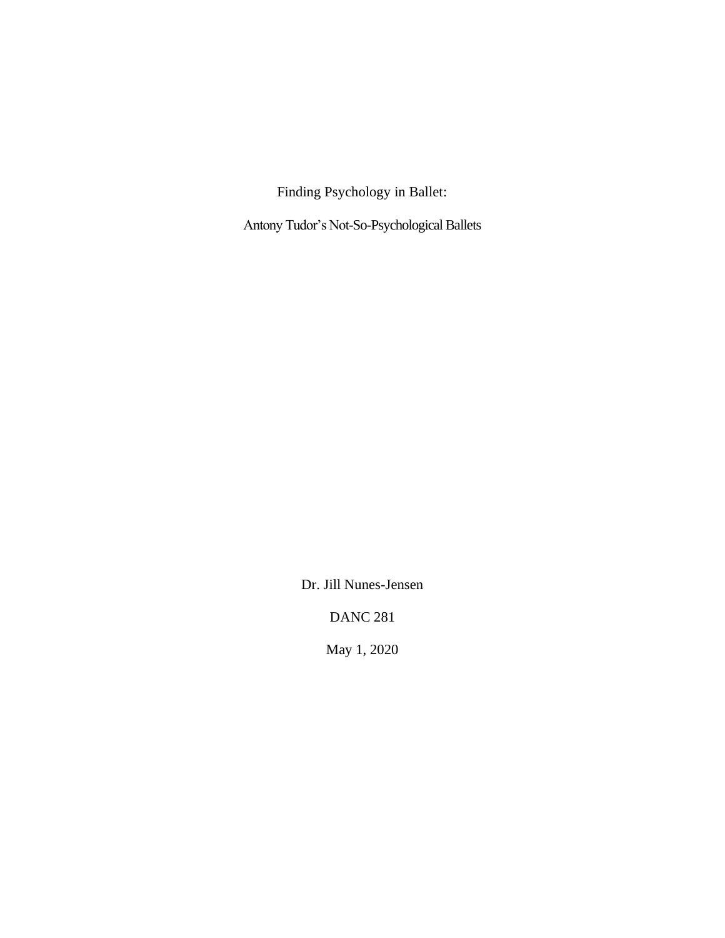Finding Psychology in Ballet:

Antony Tudor's Not-So-Psychological Ballets

Dr. Jill Nunes-Jensen

DANC 281

May 1, 2020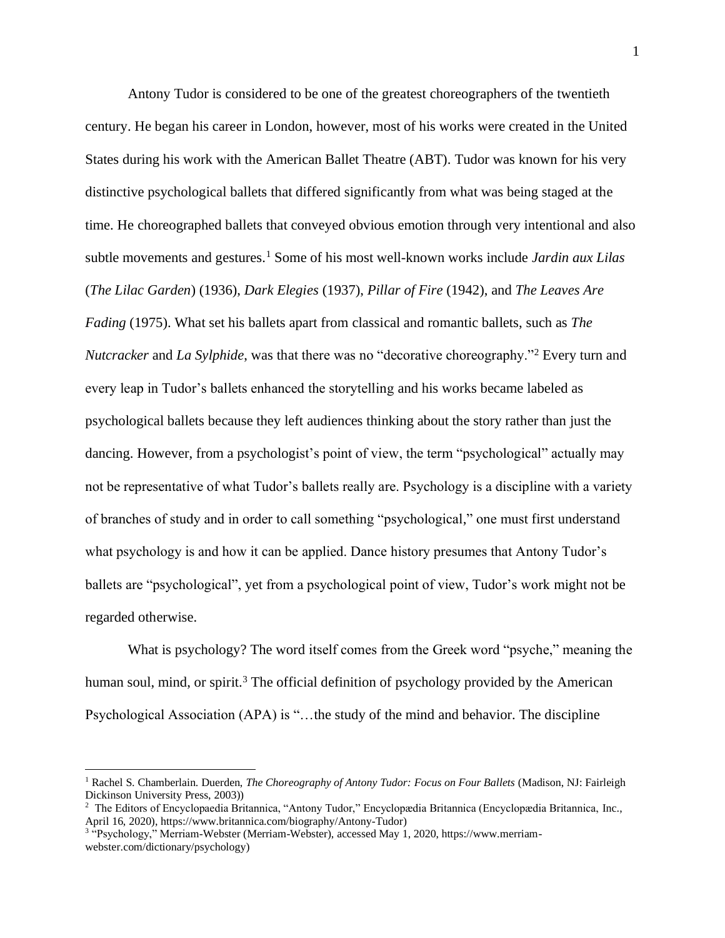Antony Tudor is considered to be one of the greatest choreographers of the twentieth century. He began his career in London, however, most of his works were created in the United States during his work with the American Ballet Theatre (ABT). Tudor was known for his very distinctive psychological ballets that differed significantly from what was being staged at the time. He choreographed ballets that conveyed obvious emotion through very intentional and also subtle movements and gestures.<sup>1</sup> Some of his most well-known works include *Jardin aux Lilas*  (*The Lilac Garden*) (1936), *Dark Elegies* (1937), *Pillar of Fire* (1942), and *The Leaves Are Fading* (1975). What set his ballets apart from classical and romantic ballets, such as *The Nutcracker* and *La Sylphide*, was that there was no "decorative choreography."<sup>2</sup> Every turn and every leap in Tudor's ballets enhanced the storytelling and his works became labeled as psychological ballets because they left audiences thinking about the story rather than just the dancing. However, from a psychologist's point of view, the term "psychological" actually may not be representative of what Tudor's ballets really are. Psychology is a discipline with a variety of branches of study and in order to call something "psychological," one must first understand what psychology is and how it can be applied. Dance history presumes that Antony Tudor's ballets are "psychological", yet from a psychological point of view, Tudor's work might not be regarded otherwise.

What is psychology? The word itself comes from the Greek word "psyche," meaning the human soul, mind, or spirit.<sup>3</sup> The official definition of psychology provided by the American Psychological Association (APA) is "…the study of the mind and behavior. The discipline

<sup>1</sup> Rachel S. Chamberlain. Duerden, *The Choreography of Antony Tudor: Focus on Four Ballets* (Madison, NJ: Fairleigh Dickinson University Press, 2003))

<sup>2</sup> The Editors of Encyclopaedia Britannica, "Antony Tudor," Encyclopædia Britannica (Encyclopædia Britannica, Inc., April 16, 2020), https://www.britannica.com/biography/Antony-Tudor)

<sup>3</sup> "Psychology," Merriam-Webster (Merriam-Webster), accessed May 1, 2020, https://www.merriamwebster.com/dictionary/psychology)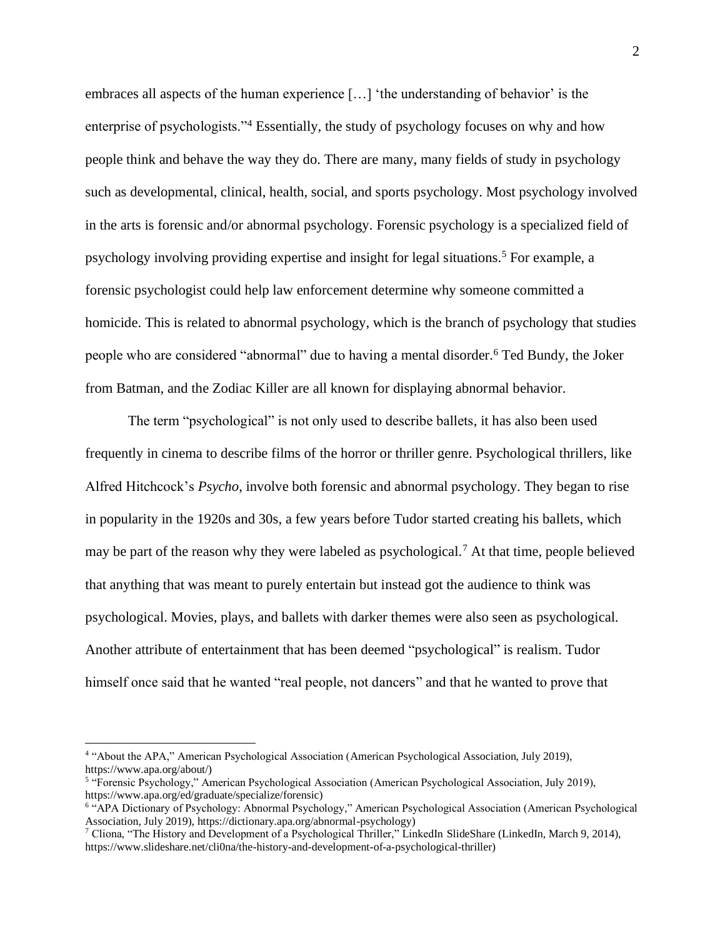embraces all aspects of the human experience […] 'the understanding of behavior' is the enterprise of psychologists."<sup>4</sup> Essentially, the study of psychology focuses on why and how people think and behave the way they do. There are many, many fields of study in psychology such as developmental, clinical, health, social, and sports psychology. Most psychology involved in the arts is forensic and/or abnormal psychology. Forensic psychology is a specialized field of psychology involving providing expertise and insight for legal situations.<sup>5</sup> For example, a forensic psychologist could help law enforcement determine why someone committed a homicide. This is related to abnormal psychology, which is the branch of psychology that studies people who are considered "abnormal" due to having a mental disorder.<sup>6</sup> Ted Bundy, the Joker from Batman, and the Zodiac Killer are all known for displaying abnormal behavior.

The term "psychological" is not only used to describe ballets, it has also been used frequently in cinema to describe films of the horror or thriller genre. Psychological thrillers, like Alfred Hitchcock's *Psycho*, involve both forensic and abnormal psychology. They began to rise in popularity in the 1920s and 30s, a few years before Tudor started creating his ballets, which may be part of the reason why they were labeled as psychological.<sup>7</sup> At that time, people believed that anything that was meant to purely entertain but instead got the audience to think was psychological. Movies, plays, and ballets with darker themes were also seen as psychological. Another attribute of entertainment that has been deemed "psychological" is realism. Tudor himself once said that he wanted "real people, not dancers" and that he wanted to prove that

<sup>4</sup> "About the APA," American Psychological Association (American Psychological Association, July 2019), https://www.apa.org/about/)

<sup>5</sup> "Forensic Psychology," American Psychological Association (American Psychological Association, July 2019), https://www.apa.org/ed/graduate/specialize/forensic)

<sup>6</sup> "APA Dictionary of Psychology: Abnormal Psychology," American Psychological Association (American Psychological Association, July 2019), https://dictionary.apa.org/abnormal-psychology)

<sup>&</sup>lt;sup>7</sup> Cliona, "The History and Development of a Psychological Thriller," LinkedIn SlideShare (LinkedIn, March 9, 2014), https://www.slideshare.net/cli0na/the-history-and-development-of-a-psychological-thriller)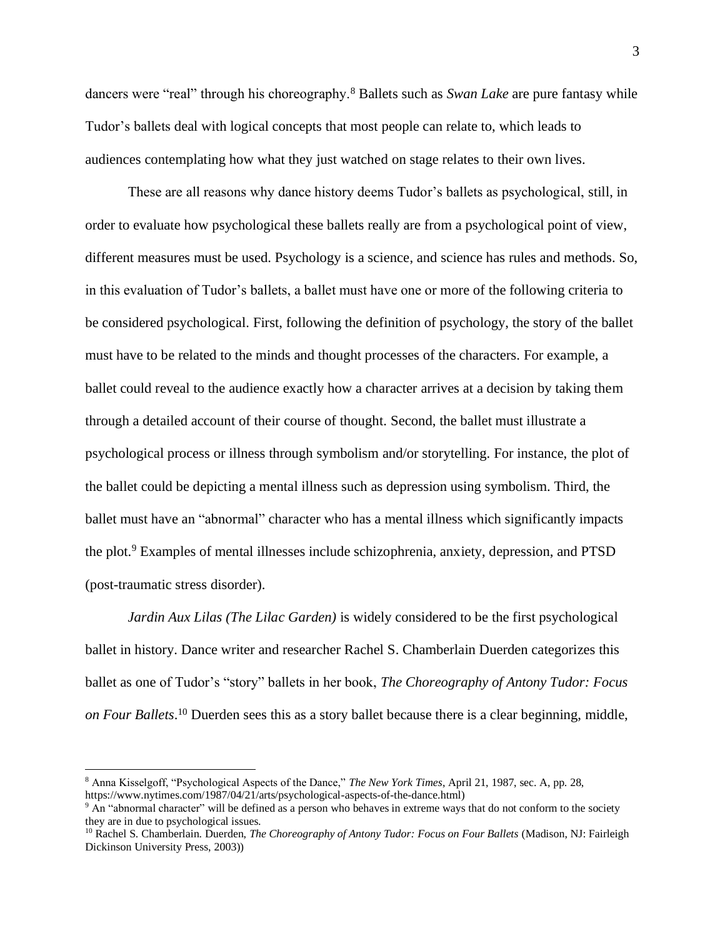dancers were "real" through his choreography.<sup>8</sup> Ballets such as *Swan Lake* are pure fantasy while Tudor's ballets deal with logical concepts that most people can relate to, which leads to audiences contemplating how what they just watched on stage relates to their own lives.

These are all reasons why dance history deems Tudor's ballets as psychological, still, in order to evaluate how psychological these ballets really are from a psychological point of view, different measures must be used. Psychology is a science, and science has rules and methods. So, in this evaluation of Tudor's ballets, a ballet must have one or more of the following criteria to be considered psychological. First, following the definition of psychology, the story of the ballet must have to be related to the minds and thought processes of the characters. For example, a ballet could reveal to the audience exactly how a character arrives at a decision by taking them through a detailed account of their course of thought. Second, the ballet must illustrate a psychological process or illness through symbolism and/or storytelling. For instance, the plot of the ballet could be depicting a mental illness such as depression using symbolism. Third, the ballet must have an "abnormal" character who has a mental illness which significantly impacts the plot.<sup>9</sup> Examples of mental illnesses include schizophrenia, anxiety, depression, and PTSD (post-traumatic stress disorder).

*Jardin Aux Lilas (The Lilac Garden)* is widely considered to be the first psychological ballet in history. Dance writer and researcher Rachel S. Chamberlain Duerden categorizes this ballet as one of Tudor's "story" ballets in her book, *The Choreography of Antony Tudor: Focus on Four Ballets*. <sup>10</sup> Duerden sees this as a story ballet because there is a clear beginning, middle,

<sup>8</sup> Anna Kisselgoff, "Psychological Aspects of the Dance," *The New York Times*, April 21, 1987, sec. A, pp. 28, https://www.nytimes.com/1987/04/21/arts/psychological-aspects-of-the-dance.html)

<sup>&</sup>lt;sup>9</sup> An "abnormal character" will be defined as a person who behaves in extreme ways that do not conform to the society they are in due to psychological issues.

<sup>10</sup> Rachel S. Chamberlain. Duerden, *The Choreography of Antony Tudor: Focus on Four Ballets* (Madison, NJ: Fairleigh Dickinson University Press, 2003))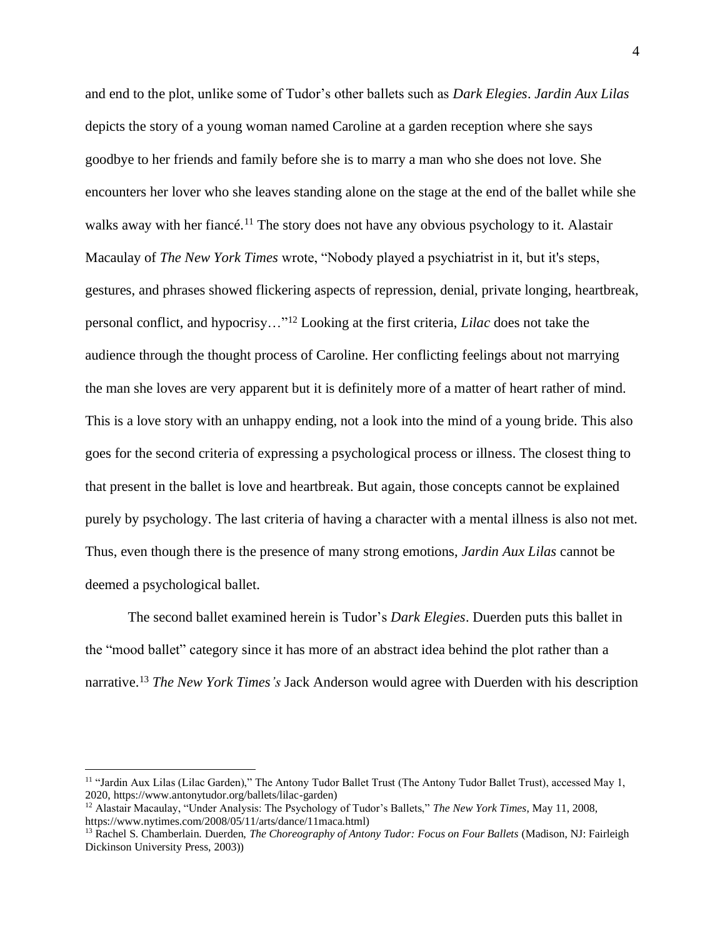and end to the plot, unlike some of Tudor's other ballets such as *Dark Elegies*. *Jardin Aux Lilas* depicts the story of a young woman named Caroline at a garden reception where she says goodbye to her friends and family before she is to marry a man who she does not love. She encounters her lover who she leaves standing alone on the stage at the end of the ballet while she walks away with her fiancé.<sup>11</sup> The story does not have any obvious psychology to it. Alastair Macaulay of *The New York Times* wrote, "Nobody played a psychiatrist in it, but it's steps, gestures, and phrases showed flickering aspects of repression, denial, private longing, heartbreak, personal conflict, and hypocrisy…"<sup>12</sup> Looking at the first criteria, *Lilac* does not take the audience through the thought process of Caroline. Her conflicting feelings about not marrying the man she loves are very apparent but it is definitely more of a matter of heart rather of mind. This is a love story with an unhappy ending, not a look into the mind of a young bride. This also goes for the second criteria of expressing a psychological process or illness. The closest thing to that present in the ballet is love and heartbreak. But again, those concepts cannot be explained purely by psychology. The last criteria of having a character with a mental illness is also not met. Thus, even though there is the presence of many strong emotions, *Jardin Aux Lilas* cannot be deemed a psychological ballet.

The second ballet examined herein is Tudor's *Dark Elegies*. Duerden puts this ballet in the "mood ballet" category since it has more of an abstract idea behind the plot rather than a narrative. <sup>13</sup> *The New York Times's* Jack Anderson would agree with Duerden with his description

<sup>&</sup>lt;sup>11</sup> "Jardin Aux Lilas (Lilac Garden)," The Antony Tudor Ballet Trust (The Antony Tudor Ballet Trust), accessed May 1, 2020, https://www.antonytudor.org/ballets/lilac-garden)

<sup>12</sup> Alastair Macaulay, "Under Analysis: The Psychology of Tudor's Ballets," *The New York Times*, May 11, 2008, https://www.nytimes.com/2008/05/11/arts/dance/11maca.html)

<sup>&</sup>lt;sup>13</sup> Rachel S. Chamberlain. Duerden, *The Choreography of Antony Tudor: Focus on Four Ballets* (Madison, NJ: Fairleigh Dickinson University Press, 2003))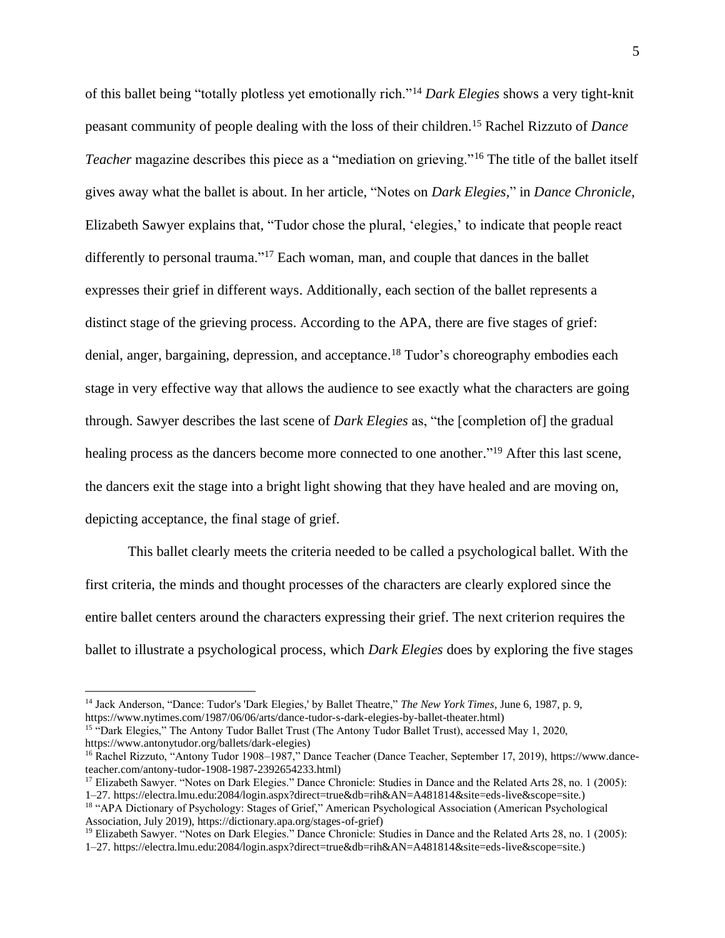of this ballet being "totally plotless yet emotionally rich."<sup>14</sup> *Dark Elegies* shows a very tight-knit peasant community of people dealing with the loss of their children.<sup>15</sup> Rachel Rizzuto of *Dance Teacher* magazine describes this piece as a "mediation on grieving."<sup>16</sup> The title of the ballet itself gives away what the ballet is about. In her article, "Notes on *Dark Elegies,*" in *Dance Chronicle*, Elizabeth Sawyer explains that, "Tudor chose the plural, 'elegies,' to indicate that people react differently to personal trauma."<sup>17</sup> Each woman, man, and couple that dances in the ballet expresses their grief in different ways. Additionally, each section of the ballet represents a distinct stage of the grieving process. According to the APA, there are five stages of grief: denial, anger, bargaining, depression, and acceptance.<sup>18</sup> Tudor's choreography embodies each stage in very effective way that allows the audience to see exactly what the characters are going through. Sawyer describes the last scene of *Dark Elegies* as, "the [completion of] the gradual healing process as the dancers become more connected to one another."<sup>19</sup> After this last scene, the dancers exit the stage into a bright light showing that they have healed and are moving on, depicting acceptance, the final stage of grief.

This ballet clearly meets the criteria needed to be called a psychological ballet. With the first criteria, the minds and thought processes of the characters are clearly explored since the entire ballet centers around the characters expressing their grief. The next criterion requires the ballet to illustrate a psychological process, which *Dark Elegies* does by exploring the five stages

<sup>14</sup> Jack Anderson, "Dance: Tudor's 'Dark Elegies,' by Ballet Theatre," *The New York Times*, June 6, 1987, p. 9, https://www.nytimes.com/1987/06/06/arts/dance-tudor-s-dark-elegies-by-ballet-theater.html)

<sup>&</sup>lt;sup>15</sup> "Dark Elegies," The Antony Tudor Ballet Trust (The Antony Tudor Ballet Trust), accessed May 1, 2020, https://www.antonytudor.org/ballets/dark-elegies)

<sup>&</sup>lt;sup>16</sup> Rachel Rizzuto, "Antony Tudor 1908–1987," Dance Teacher (Dance Teacher, September 17, 2019), https://www.danceteacher.com/antony-tudor-1908-1987-2392654233.html)

<sup>&</sup>lt;sup>17</sup> Elizabeth Sawyer. "Notes on Dark Elegies." Dance Chronicle: Studies in Dance and the Related Arts 28, no. 1 (2005): 1–27. https://electra.lmu.edu:2084/login.aspx?direct=true&db=rih&AN=A481814&site=eds-live&scope=site.)

<sup>&</sup>lt;sup>18</sup> "APA Dictionary of Psychology: Stages of Grief," American Psychological Association (American Psychological Association, July 2019), https://dictionary.apa.org/stages-of-grief)

<sup>&</sup>lt;sup>19</sup> Elizabeth Sawyer. "Notes on Dark Elegies." Dance Chronicle: Studies in Dance and the Related Arts 28, no. 1 (2005):

<sup>1–27.</sup> https://electra.lmu.edu:2084/login.aspx?direct=true&db=rih&AN=A481814&site=eds-live&scope=site.)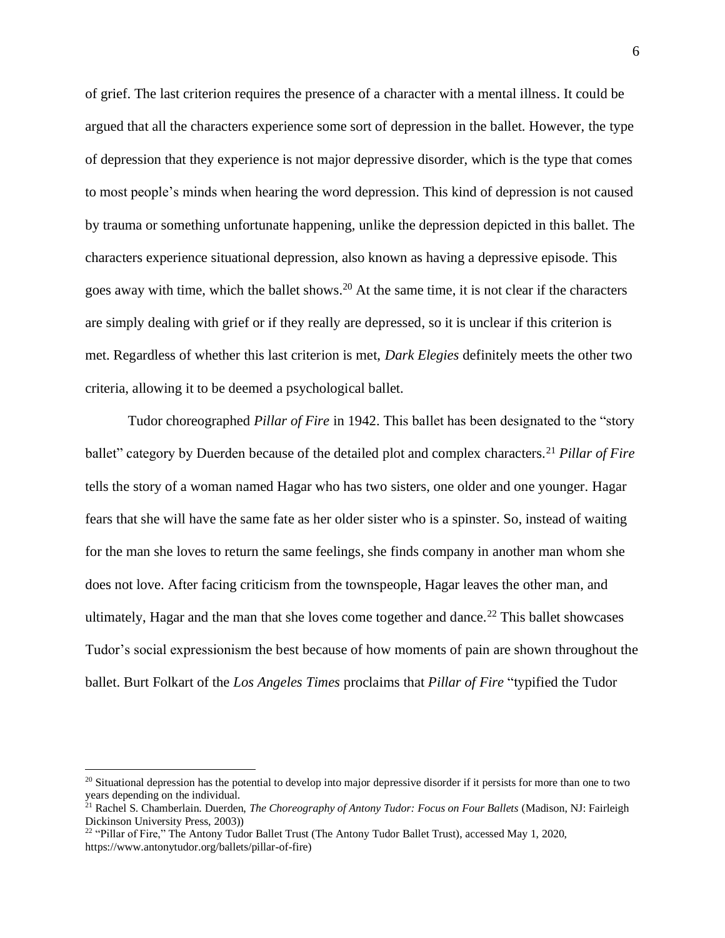of grief. The last criterion requires the presence of a character with a mental illness. It could be argued that all the characters experience some sort of depression in the ballet. However, the type of depression that they experience is not major depressive disorder, which is the type that comes to most people's minds when hearing the word depression. This kind of depression is not caused by trauma or something unfortunate happening, unlike the depression depicted in this ballet. The characters experience situational depression, also known as having a depressive episode. This goes away with time, which the ballet shows.<sup>20</sup> At the same time, it is not clear if the characters are simply dealing with grief or if they really are depressed, so it is unclear if this criterion is met. Regardless of whether this last criterion is met, *Dark Elegies* definitely meets the other two criteria, allowing it to be deemed a psychological ballet.

Tudor choreographed *Pillar of Fire* in 1942. This ballet has been designated to the "story ballet" category by Duerden because of the detailed plot and complex characters.<sup>21</sup> *Pillar of Fire* tells the story of a woman named Hagar who has two sisters, one older and one younger. Hagar fears that she will have the same fate as her older sister who is a spinster. So, instead of waiting for the man she loves to return the same feelings, she finds company in another man whom she does not love. After facing criticism from the townspeople, Hagar leaves the other man, and ultimately, Hagar and the man that she loves come together and dance.<sup>22</sup> This ballet showcases Tudor's social expressionism the best because of how moments of pain are shown throughout the ballet. Burt Folkart of the *Los Angeles Times* proclaims that *Pillar of Fire* "typified the Tudor

<sup>&</sup>lt;sup>20</sup> Situational depression has the potential to develop into major depressive disorder if it persists for more than one to two years depending on the individual.

<sup>21</sup> Rachel S. Chamberlain. Duerden, *The Choreography of Antony Tudor: Focus on Four Ballets* (Madison, NJ: Fairleigh Dickinson University Press, 2003))

<sup>&</sup>lt;sup>22</sup> "Pillar of Fire," The Antony Tudor Ballet Trust (The Antony Tudor Ballet Trust), accessed May 1, 2020, https://www.antonytudor.org/ballets/pillar-of-fire)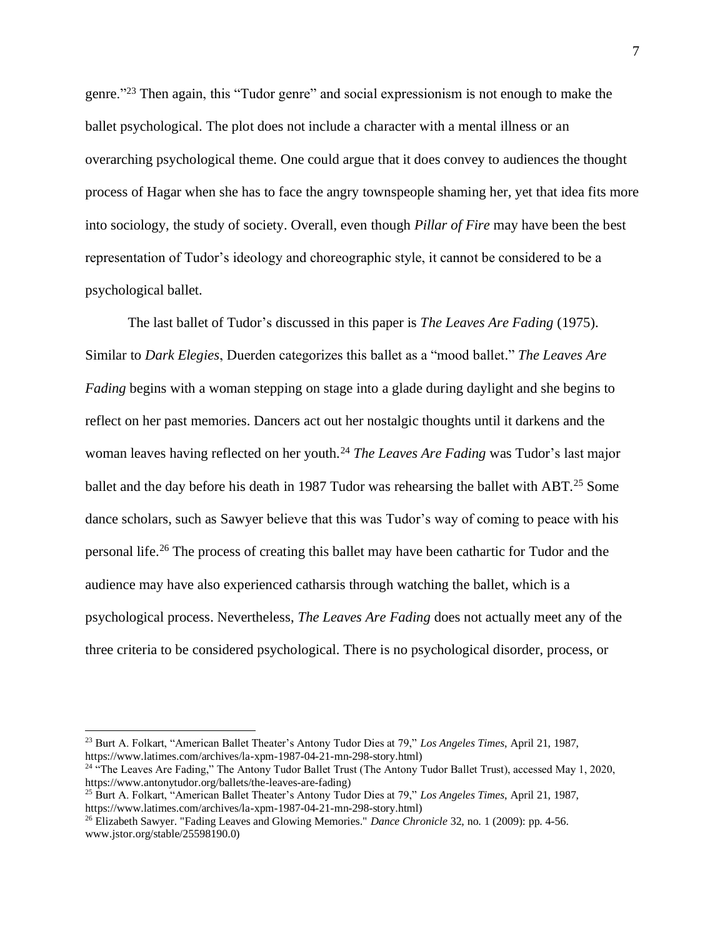genre."<sup>23</sup> Then again, this "Tudor genre" and social expressionism is not enough to make the ballet psychological. The plot does not include a character with a mental illness or an overarching psychological theme. One could argue that it does convey to audiences the thought process of Hagar when she has to face the angry townspeople shaming her, yet that idea fits more into sociology, the study of society. Overall, even though *Pillar of Fire* may have been the best representation of Tudor's ideology and choreographic style, it cannot be considered to be a psychological ballet.

The last ballet of Tudor's discussed in this paper is *The Leaves Are Fading* (1975). Similar to *Dark Elegies*, Duerden categorizes this ballet as a "mood ballet." *The Leaves Are Fading* begins with a woman stepping on stage into a glade during daylight and she begins to reflect on her past memories. Dancers act out her nostalgic thoughts until it darkens and the woman leaves having reflected on her youth.<sup>24</sup> *The Leaves Are Fading* was Tudor's last major ballet and the day before his death in 1987 Tudor was rehearsing the ballet with ABT.<sup>25</sup> Some dance scholars, such as Sawyer believe that this was Tudor's way of coming to peace with his personal life.<sup>26</sup> The process of creating this ballet may have been cathartic for Tudor and the audience may have also experienced catharsis through watching the ballet, which is a psychological process. Nevertheless, *The Leaves Are Fading* does not actually meet any of the three criteria to be considered psychological. There is no psychological disorder, process, or

<sup>23</sup> Burt A. Folkart, "American Ballet Theater's Antony Tudor Dies at 79," *Los Angeles Times*, April 21, 1987, https://www.latimes.com/archives/la-xpm-1987-04-21-mn-298-story.html)

<sup>&</sup>lt;sup>24</sup> "The Leaves Are Fading," The Antony Tudor Ballet Trust (The Antony Tudor Ballet Trust), accessed May 1, 2020, https://www.antonytudor.org/ballets/the-leaves-are-fading)

<sup>25</sup> Burt A. Folkart, "American Ballet Theater's Antony Tudor Dies at 79," *Los Angeles Times*, April 21, 1987, https://www.latimes.com/archives/la-xpm-1987-04-21-mn-298-story.html)

<sup>26</sup> Elizabeth Sawyer. "Fading Leaves and Glowing Memories." *Dance Chronicle* 32, no. 1 (2009): pp. 4-56. www.jstor.org/stable/25598190.0)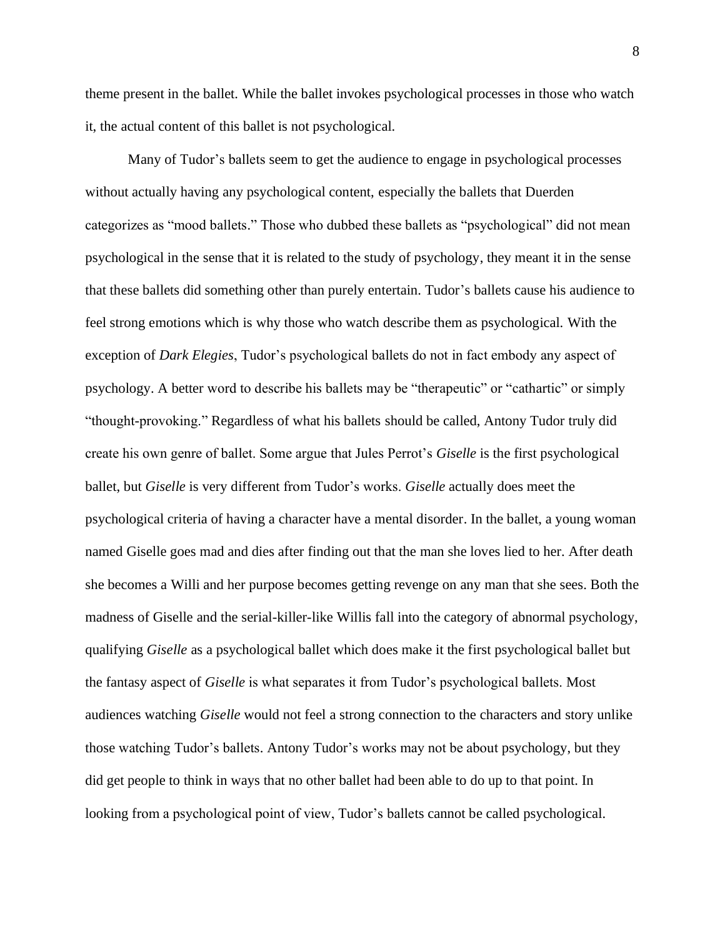theme present in the ballet. While the ballet invokes psychological processes in those who watch it, the actual content of this ballet is not psychological.

Many of Tudor's ballets seem to get the audience to engage in psychological processes without actually having any psychological content, especially the ballets that Duerden categorizes as "mood ballets." Those who dubbed these ballets as "psychological" did not mean psychological in the sense that it is related to the study of psychology, they meant it in the sense that these ballets did something other than purely entertain. Tudor's ballets cause his audience to feel strong emotions which is why those who watch describe them as psychological. With the exception of *Dark Elegies*, Tudor's psychological ballets do not in fact embody any aspect of psychology. A better word to describe his ballets may be "therapeutic" or "cathartic" or simply "thought-provoking." Regardless of what his ballets should be called, Antony Tudor truly did create his own genre of ballet. Some argue that Jules Perrot's *Giselle* is the first psychological ballet, but *Giselle* is very different from Tudor's works. *Giselle* actually does meet the psychological criteria of having a character have a mental disorder. In the ballet, a young woman named Giselle goes mad and dies after finding out that the man she loves lied to her. After death she becomes a Willi and her purpose becomes getting revenge on any man that she sees. Both the madness of Giselle and the serial-killer-like Willis fall into the category of abnormal psychology, qualifying *Giselle* as a psychological ballet which does make it the first psychological ballet but the fantasy aspect of *Giselle* is what separates it from Tudor's psychological ballets. Most audiences watching *Giselle* would not feel a strong connection to the characters and story unlike those watching Tudor's ballets. Antony Tudor's works may not be about psychology, but they did get people to think in ways that no other ballet had been able to do up to that point. In looking from a psychological point of view, Tudor's ballets cannot be called psychological.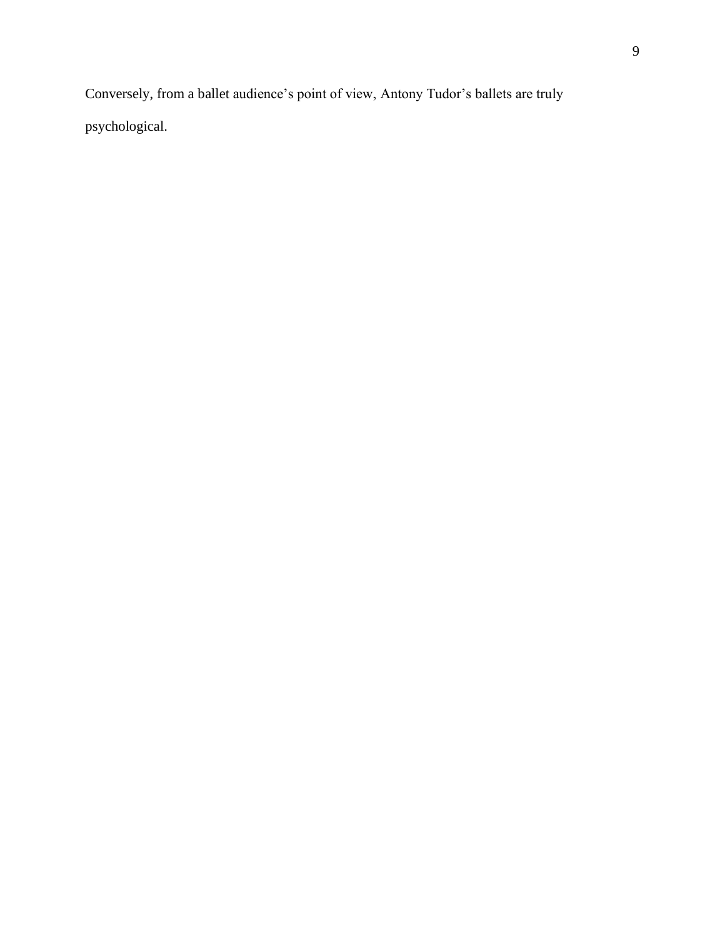Conversely, from a ballet audience's point of view, Antony Tudor's ballets are truly psychological.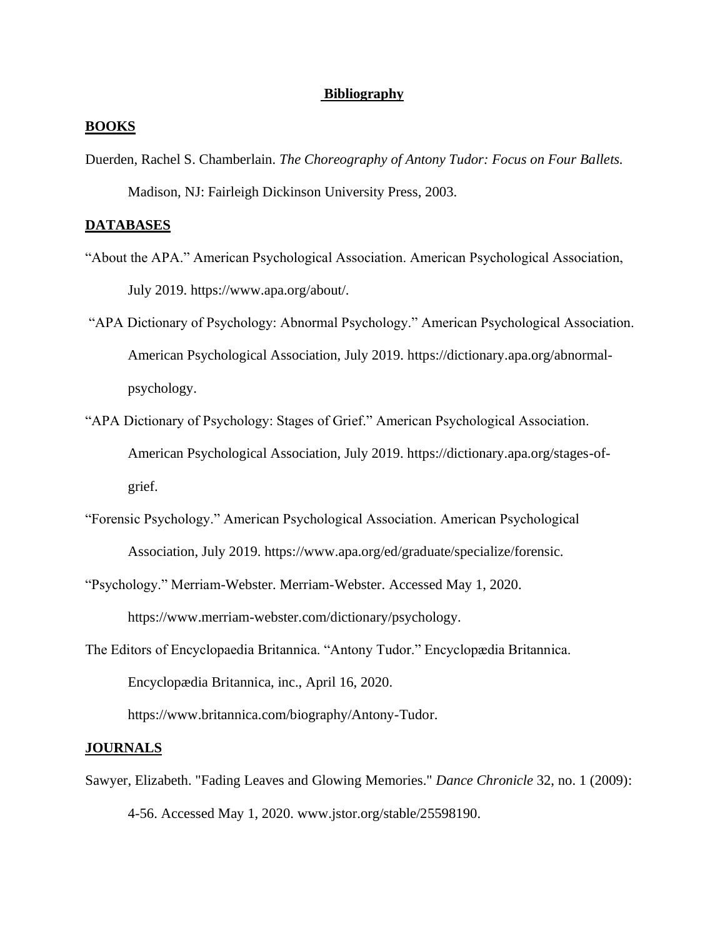## **Bibliography**

## **BOOKS**

Duerden, Rachel S. Chamberlain. *The Choreography of Antony Tudor: Focus on Four Ballets.*  Madison, NJ: Fairleigh Dickinson University Press, 2003.

### **DATABASES**

- "About the APA." American Psychological Association. American Psychological Association, July 2019. https://www.apa.org/about/.
- "APA Dictionary of Psychology: Abnormal Psychology." American Psychological Association. American Psychological Association, July 2019. https://dictionary.apa.org/abnormalpsychology.
- "APA Dictionary of Psychology: Stages of Grief." American Psychological Association. American Psychological Association, July 2019. https://dictionary.apa.org/stages-ofgrief.
- "Forensic Psychology." American Psychological Association. American Psychological Association, July 2019. https://www.apa.org/ed/graduate/specialize/forensic.
- "Psychology." Merriam-Webster. Merriam-Webster. Accessed May 1, 2020. https://www.merriam-webster.com/dictionary/psychology.
- The Editors of Encyclopaedia Britannica. "Antony Tudor." Encyclopædia Britannica. Encyclopædia Britannica, inc., April 16, 2020. https://www.britannica.com/biography/Antony-Tudor.

#### **JOURNALS**

Sawyer, Elizabeth. "Fading Leaves and Glowing Memories." *Dance Chronicle* 32, no. 1 (2009): 4-56. Accessed May 1, 2020. www.jstor.org/stable/25598190.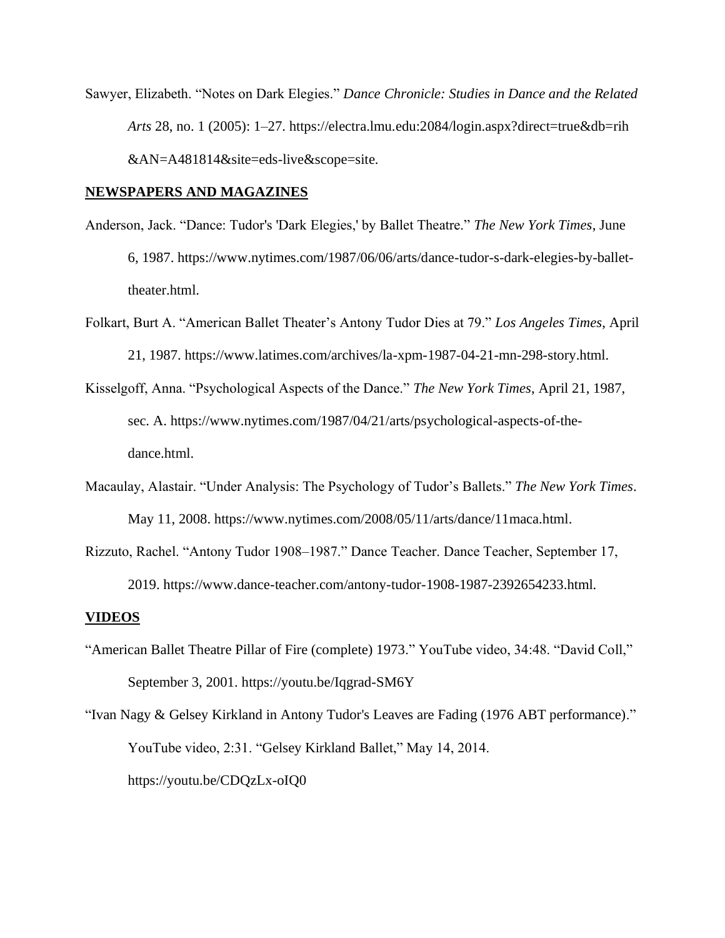Sawyer, Elizabeth. "Notes on Dark Elegies." *Dance Chronicle: Studies in Dance and the Related Arts* 28, no. 1 (2005): 1–27. https://electra.lmu.edu:2084/login.aspx?direct=true&db=rih &AN=A481814&site=eds-live&scope=site.

#### **NEWSPAPERS AND MAGAZINES**

- Anderson, Jack. "Dance: Tudor's 'Dark Elegies,' by Ballet Theatre." *The New York Times*, June 6, 1987. https://www.nytimes.com/1987/06/06/arts/dance-tudor-s-dark-elegies-by-ballettheater.html.
- Folkart, Burt A. "American Ballet Theater's Antony Tudor Dies at 79." *Los Angeles Times*, April 21, 1987. https://www.latimes.com/archives/la-xpm-1987-04-21-mn-298-story.html.
- Kisselgoff, Anna. "Psychological Aspects of the Dance." *The New York Times*, April 21, 1987, sec. A. https://www.nytimes.com/1987/04/21/arts/psychological-aspects-of-thedance.html.
- Macaulay, Alastair. "Under Analysis: The Psychology of Tudor's Ballets." *The New York Times*. May 11, 2008. https://www.nytimes.com/2008/05/11/arts/dance/11maca.html.
- Rizzuto, Rachel. "Antony Tudor 1908–1987." Dance Teacher. Dance Teacher, September 17, 2019. https://www.dance-teacher.com/antony-tudor-1908-1987-2392654233.html.

#### **VIDEOS**

- "American Ballet Theatre Pillar of Fire (complete) 1973." YouTube video, 34:48. "David Coll," September 3, 2001. https://youtu.be/Iqgrad-SM6Y
- "Ivan Nagy & Gelsey Kirkland in Antony Tudor's Leaves are Fading (1976 ABT performance)." YouTube video, 2:31. "Gelsey Kirkland Ballet," May 14, 2014. https://youtu.be/CDQzLx-oIQ0